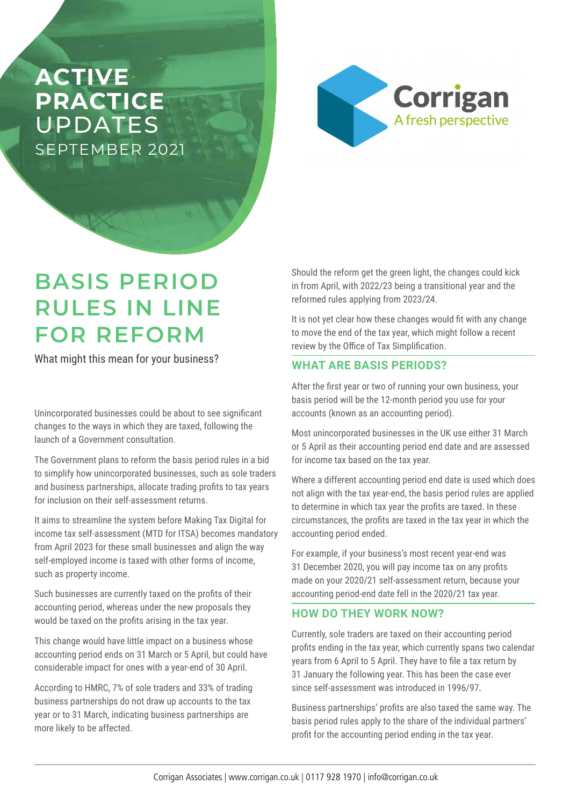## **ACTIVE PRACTICE**  UPDATES SEPTEMBER 2021



# **BASIS PERIOD RULES IN LINE FOR REFORM**

What might this mean for your business?

Unincorporated businesses could be about to see significant changes to the ways in which they are taxed, following the launch of a Government consultation.

The Government plans to reform the basis period rules in a bid to simplify how unincorporated businesses, such as sole traders and business partnerships, allocate trading profits to tax years for inclusion on their self-assessment returns.

It aims to streamline the system before Making Tax Digital for income tax self-assessment (MTD for ITSA) becomes mandatory from April 2023 for these small businesses and align the way self-employed income is taxed with other forms of income, such as property income.

Such businesses are currently taxed on the profits of their accounting period, whereas under the new proposals they would be taxed on the profits arising in the tax year.

This change would have little impact on a business whose accounting period ends on 31 March or 5 April, but could have considerable impact for ones with a year-end of 30 April.

According to HMRC, 7% of sole traders and 33% of trading business partnerships do not draw up accounts to the tax year or to 31 March, indicating business partnerships are more likely to be affected.

Should the reform get the green light, the changes could kick in from April, with 2022/23 being a transitional year and the reformed rules applying from 2023/24.

It is not yet clear how these changes would fit with any change to move the end of the tax year, which might follow a recent review by the Office of Tax Simplification.

#### **WHAT ARE BASIS PERIODS?**

After the first year or two of running your own business, your basis period will be the 12-month period you use for your accounts (known as an accounting period).

Most unincorporated businesses in the UK use either 31 March or 5 April as their accounting period end date and are assessed for income tax based on the tax year.

Where a different accounting period end date is used which does not align with the tax year-end, the basis period rules are applied to determine in which tax year the profits are taxed. In these circumstances, the profits are taxed in the tax year in which the accounting period ended.

For example, if your business's most recent year-end was 31 December 2020, you will pay income tax on any profits made on your 2020/21 self-assessment return, because your accounting period-end date fell in the 2020/21 tax year.

#### **HOW DO THEY WORK NOW?**

Currently, sole traders are taxed on their accounting period profits ending in the tax year, which currently spans two calendar years from 6 April to 5 April. They have to file a tax return by 31 January the following year. This has been the case ever since self-assessment was introduced in 1996/97.

Business partnerships' profits are also taxed the same way. The basis period rules apply to the share of the individual partners' profit for the accounting period ending in the tax year.